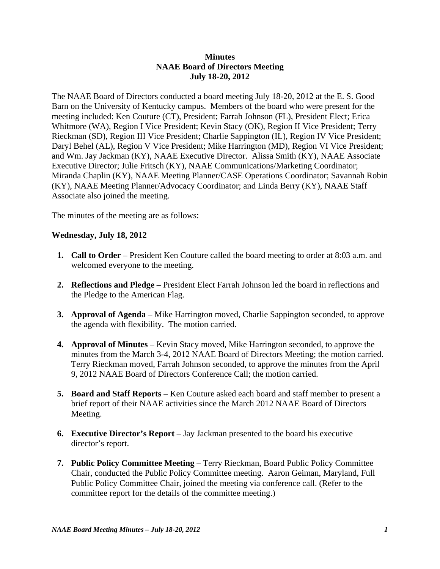## **Minutes NAAE Board of Directors Meeting July 18-20, 2012**

The NAAE Board of Directors conducted a board meeting July 18-20, 2012 at the E. S. Good Barn on the University of Kentucky campus. Members of the board who were present for the meeting included: Ken Couture (CT), President; Farrah Johnson (FL), President Elect; Erica Whitmore (WA), Region I Vice President; Kevin Stacy (OK), Region II Vice President; Terry Rieckman (SD), Region III Vice President; Charlie Sappington (IL), Region IV Vice President; Daryl Behel (AL), Region V Vice President; Mike Harrington (MD), Region VI Vice President; and Wm. Jay Jackman (KY), NAAE Executive Director. Alissa Smith (KY), NAAE Associate Executive Director; Julie Fritsch (KY), NAAE Communications/Marketing Coordinator; Miranda Chaplin (KY), NAAE Meeting Planner/CASE Operations Coordinator; Savannah Robin (KY), NAAE Meeting Planner/Advocacy Coordinator; and Linda Berry (KY), NAAE Staff Associate also joined the meeting.

The minutes of the meeting are as follows:

## **Wednesday, July 18, 2012**

- **1. Call to Order** President Ken Couture called the board meeting to order at 8:03 a.m. and welcomed everyone to the meeting.
- **2. Reflections and Pledge** President Elect Farrah Johnson led the board in reflections and the Pledge to the American Flag.
- **3. Approval of Agenda** Mike Harrington moved, Charlie Sappington seconded, to approve the agenda with flexibility. The motion carried.
- **4. Approval of Minutes**  Kevin Stacy moved, Mike Harrington seconded, to approve the minutes from the March 3-4, 2012 NAAE Board of Directors Meeting; the motion carried. Terry Rieckman moved, Farrah Johnson seconded, to approve the minutes from the April 9, 2012 NAAE Board of Directors Conference Call; the motion carried.
- **5. Board and Staff Reports**  Ken Couture asked each board and staff member to present a brief report of their NAAE activities since the March 2012 NAAE Board of Directors Meeting.
- **6. Executive Director's Report** Jay Jackman presented to the board his executive director's report.
- **7. Public Policy Committee Meeting**  Terry Rieckman, Board Public Policy Committee Chair, conducted the Public Policy Committee meeting. Aaron Geiman, Maryland, Full Public Policy Committee Chair, joined the meeting via conference call. (Refer to the committee report for the details of the committee meeting.)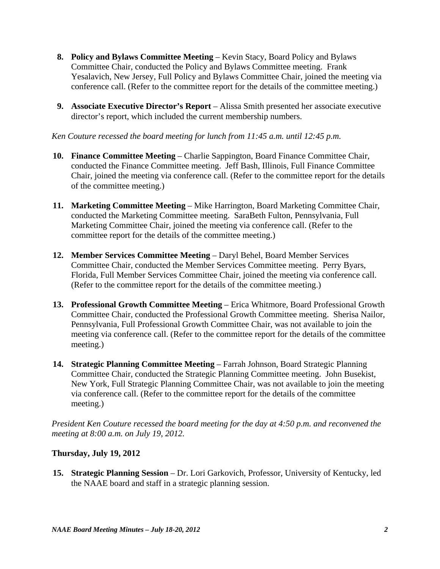- **8. Policy and Bylaws Committee Meeting**  Kevin Stacy, Board Policy and Bylaws Committee Chair, conducted the Policy and Bylaws Committee meeting. Frank Yesalavich, New Jersey, Full Policy and Bylaws Committee Chair, joined the meeting via conference call. (Refer to the committee report for the details of the committee meeting.)
- **9. Associate Executive Director's Report** Alissa Smith presented her associate executive director's report, which included the current membership numbers.

*Ken Couture recessed the board meeting for lunch from 11:45 a.m. until 12:45 p.m.* 

- **10. Finance Committee Meeting**  Charlie Sappington, Board Finance Committee Chair, conducted the Finance Committee meeting. Jeff Bash, Illinois, Full Finance Committee Chair, joined the meeting via conference call. (Refer to the committee report for the details of the committee meeting.)
- **11. Marketing Committee Meeting**  Mike Harrington, Board Marketing Committee Chair, conducted the Marketing Committee meeting. SaraBeth Fulton, Pennsylvania, Full Marketing Committee Chair, joined the meeting via conference call. (Refer to the committee report for the details of the committee meeting.)
- **12. Member Services Committee Meeting**  Daryl Behel, Board Member Services Committee Chair, conducted the Member Services Committee meeting. Perry Byars, Florida, Full Member Services Committee Chair, joined the meeting via conference call. (Refer to the committee report for the details of the committee meeting.)
- 13. Professional Growth Committee Meeting Erica Whitmore, Board Professional Growth Committee Chair, conducted the Professional Growth Committee meeting. Sherisa Nailor, Pennsylvania, Full Professional Growth Committee Chair, was not available to join the meeting via conference call. (Refer to the committee report for the details of the committee meeting.)
- **14. Strategic Planning Committee Meeting Farrah Johnson, Board Strategic Planning** Committee Chair, conducted the Strategic Planning Committee meeting. John Busekist, New York, Full Strategic Planning Committee Chair, was not available to join the meeting via conference call. (Refer to the committee report for the details of the committee meeting.)

*President Ken Couture recessed the board meeting for the day at 4:50 p.m. and reconvened the meeting at 8:00 a.m. on July 19, 2012.* 

## **Thursday, July 19, 2012**

**15. Strategic Planning Session** – Dr. Lori Garkovich, Professor, University of Kentucky, led the NAAE board and staff in a strategic planning session.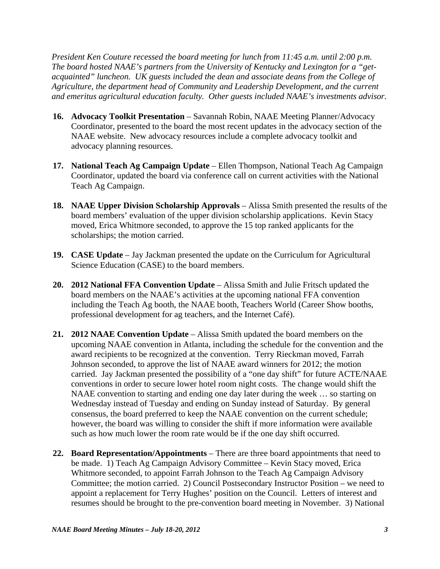*President Ken Couture recessed the board meeting for lunch from 11:45 a.m. until 2:00 p.m. The board hosted NAAE's partners from the University of Kentucky and Lexington for a "getacquainted" luncheon. UK guests included the dean and associate deans from the College of Agriculture, the department head of Community and Leadership Development, and the current and emeritus agricultural education faculty. Other guests included NAAE's investments advisor.*

- **16. Advocacy Toolkit Presentation** Savannah Robin, NAAE Meeting Planner/Advocacy Coordinator, presented to the board the most recent updates in the advocacy section of the NAAE website. New advocacy resources include a complete advocacy toolkit and advocacy planning resources.
- **17. National Teach Ag Campaign Update** Ellen Thompson, National Teach Ag Campaign Coordinator, updated the board via conference call on current activities with the National Teach Ag Campaign.
- **18. NAAE Upper Division Scholarship Approvals** Alissa Smith presented the results of the board members' evaluation of the upper division scholarship applications. Kevin Stacy moved, Erica Whitmore seconded, to approve the 15 top ranked applicants for the scholarships; the motion carried.
- **19. CASE Update** Jay Jackman presented the update on the Curriculum for Agricultural Science Education (CASE) to the board members.
- **20. 2012 National FFA Convention Update** Alissa Smith and Julie Fritsch updated the board members on the NAAE's activities at the upcoming national FFA convention including the Teach Ag booth, the NAAE booth, Teachers World (Career Show booths, professional development for ag teachers, and the Internet Café).
- **21. 2012 NAAE Convention Update** Alissa Smith updated the board members on the upcoming NAAE convention in Atlanta, including the schedule for the convention and the award recipients to be recognized at the convention. Terry Rieckman moved, Farrah Johnson seconded, to approve the list of NAAE award winners for 2012; the motion carried. Jay Jackman presented the possibility of a "one day shift" for future ACTE/NAAE conventions in order to secure lower hotel room night costs. The change would shift the NAAE convention to starting and ending one day later during the week … so starting on Wednesday instead of Tuesday and ending on Sunday instead of Saturday. By general consensus, the board preferred to keep the NAAE convention on the current schedule; however, the board was willing to consider the shift if more information were available such as how much lower the room rate would be if the one day shift occurred.
- **22. Board Representation/Appointments** There are three board appointments that need to be made. 1) Teach Ag Campaign Advisory Committee – Kevin Stacy moved, Erica Whitmore seconded, to appoint Farrah Johnson to the Teach Ag Campaign Advisory Committee; the motion carried. 2) Council Postsecondary Instructor Position – we need to appoint a replacement for Terry Hughes' position on the Council. Letters of interest and resumes should be brought to the pre-convention board meeting in November. 3) National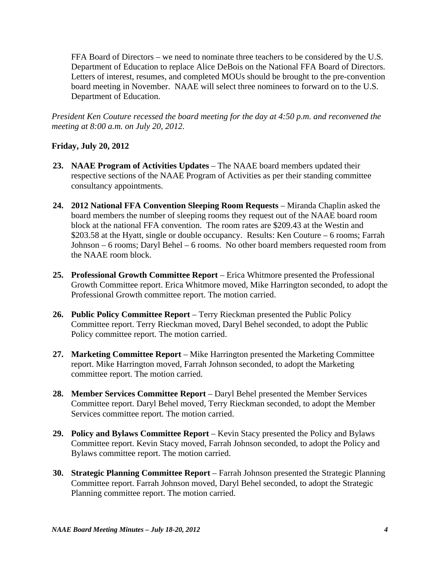FFA Board of Directors – we need to nominate three teachers to be considered by the U.S. Department of Education to replace Alice DeBois on the National FFA Board of Directors. Letters of interest, resumes, and completed MOUs should be brought to the pre-convention board meeting in November. NAAE will select three nominees to forward on to the U.S. Department of Education.

*President Ken Couture recessed the board meeting for the day at 4:50 p.m. and reconvened the meeting at 8:00 a.m. on July 20, 2012.* 

## **Friday, July 20, 2012**

- **23. NAAE Program of Activities Updates** The NAAE board members updated their respective sections of the NAAE Program of Activities as per their standing committee consultancy appointments.
- **24. 2012 National FFA Convention Sleeping Room Requests** Miranda Chaplin asked the board members the number of sleeping rooms they request out of the NAAE board room block at the national FFA convention. The room rates are \$209.43 at the Westin and \$203.58 at the Hyatt, single or double occupancy. Results: Ken Couture – 6 rooms; Farrah Johnson – 6 rooms; Daryl Behel – 6 rooms. No other board members requested room from the NAAE room block.
- **25. Professional Growth Committee Report**  Erica Whitmore presented the Professional Growth Committee report. Erica Whitmore moved, Mike Harrington seconded, to adopt the Professional Growth committee report. The motion carried.
- **26. Public Policy Committee Report**  Terry Rieckman presented the Public Policy Committee report. Terry Rieckman moved, Daryl Behel seconded, to adopt the Public Policy committee report. The motion carried.
- **27. Marketing Committee Report**  Mike Harrington presented the Marketing Committee report. Mike Harrington moved, Farrah Johnson seconded, to adopt the Marketing committee report. The motion carried.
- **28. Member Services Committee Report**  Daryl Behel presented the Member Services Committee report. Daryl Behel moved, Terry Rieckman seconded, to adopt the Member Services committee report. The motion carried.
- **29. Policy and Bylaws Committee Report**  Kevin Stacy presented the Policy and Bylaws Committee report. Kevin Stacy moved, Farrah Johnson seconded, to adopt the Policy and Bylaws committee report. The motion carried.
- **30. Strategic Planning Committee Report** Farrah Johnson presented the Strategic Planning Committee report. Farrah Johnson moved, Daryl Behel seconded, to adopt the Strategic Planning committee report. The motion carried.